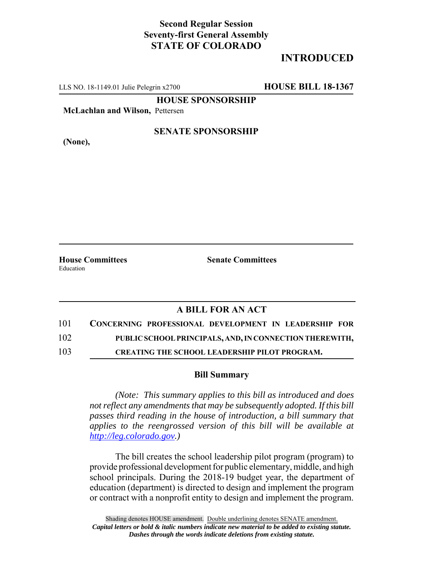## **Second Regular Session Seventy-first General Assembly STATE OF COLORADO**

# **INTRODUCED**

LLS NO. 18-1149.01 Julie Pelegrin x2700 **HOUSE BILL 18-1367**

**HOUSE SPONSORSHIP**

**McLachlan and Wilson,** Pettersen

**(None),**

#### **SENATE SPONSORSHIP**

Education

**House Committees Senate Committees** 

## **A BILL FOR AN ACT**

101 **CONCERNING PROFESSIONAL DEVELOPMENT IN LEADERSHIP FOR**

102 **PUBLIC SCHOOL PRINCIPALS, AND, IN CONNECTION THEREWITH,**

103 **CREATING THE SCHOOL LEADERSHIP PILOT PROGRAM.**

### **Bill Summary**

*(Note: This summary applies to this bill as introduced and does not reflect any amendments that may be subsequently adopted. If this bill passes third reading in the house of introduction, a bill summary that applies to the reengrossed version of this bill will be available at http://leg.colorado.gov.)*

The bill creates the school leadership pilot program (program) to provide professional development for public elementary, middle, and high school principals. During the 2018-19 budget year, the department of education (department) is directed to design and implement the program or contract with a nonprofit entity to design and implement the program.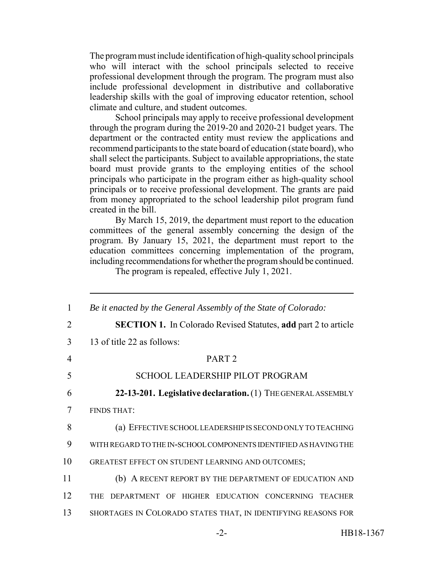The program must include identification of high-quality school principals who will interact with the school principals selected to receive professional development through the program. The program must also include professional development in distributive and collaborative leadership skills with the goal of improving educator retention, school climate and culture, and student outcomes.

School principals may apply to receive professional development through the program during the 2019-20 and 2020-21 budget years. The department or the contracted entity must review the applications and recommend participants to the state board of education (state board), who shall select the participants. Subject to available appropriations, the state board must provide grants to the employing entities of the school principals who participate in the program either as high-quality school principals or to receive professional development. The grants are paid from money appropriated to the school leadership pilot program fund created in the bill.

By March 15, 2019, the department must report to the education committees of the general assembly concerning the design of the program. By January 15, 2021, the department must report to the education committees concerning implementation of the program, including recommendations for whether the program should be continued.

The program is repealed, effective July 1, 2021.

| 1              | Be it enacted by the General Assembly of the State of Colorado:       |
|----------------|-----------------------------------------------------------------------|
| $\overline{2}$ | <b>SECTION 1.</b> In Colorado Revised Statutes, add part 2 to article |
| 3              | 13 of title 22 as follows:                                            |
| 4              | PART <sub>2</sub>                                                     |
| 5              | <b>SCHOOL LEADERSHIP PILOT PROGRAM</b>                                |
| 6              | 22-13-201. Legislative declaration. (1) THE GENERAL ASSEMBLY          |
| 7              | <b>FINDS THAT:</b>                                                    |
| 8              | (a) EFFECTIVE SCHOOL LEADER SHIP IS SECOND ONLY TO TEACHING           |
| 9              | WITH REGARD TO THE IN-SCHOOL COMPONENTS IDENTIFIED AS HAVING THE      |
| 10             | GREATEST EFFECT ON STUDENT LEARNING AND OUTCOMES;                     |
| 11             | (b) A RECENT REPORT BY THE DEPARTMENT OF EDUCATION AND                |
| 12             | THE DEPARTMENT OF HIGHER EDUCATION CONCERNING TEACHER                 |
| 13             | SHORTAGES IN COLORADO STATES THAT, IN IDENTIFYING REASONS FOR         |
|                |                                                                       |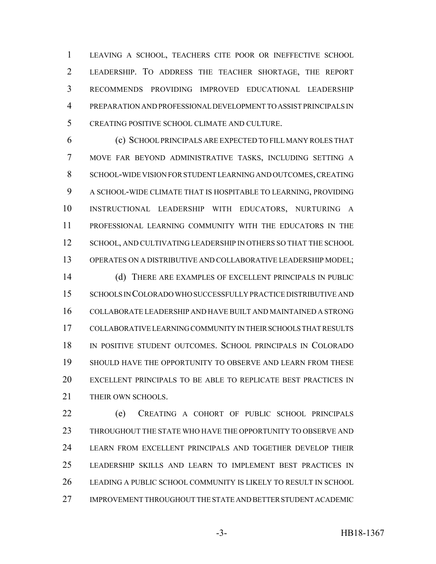LEAVING A SCHOOL, TEACHERS CITE POOR OR INEFFECTIVE SCHOOL LEADERSHIP. TO ADDRESS THE TEACHER SHORTAGE, THE REPORT RECOMMENDS PROVIDING IMPROVED EDUCATIONAL LEADERSHIP PREPARATION AND PROFESSIONAL DEVELOPMENT TO ASSIST PRINCIPALS IN CREATING POSITIVE SCHOOL CLIMATE AND CULTURE.

 (c) SCHOOL PRINCIPALS ARE EXPECTED TO FILL MANY ROLES THAT MOVE FAR BEYOND ADMINISTRATIVE TASKS, INCLUDING SETTING A SCHOOL-WIDE VISION FOR STUDENT LEARNING AND OUTCOMES, CREATING A SCHOOL-WIDE CLIMATE THAT IS HOSPITABLE TO LEARNING, PROVIDING INSTRUCTIONAL LEADERSHIP WITH EDUCATORS, NURTURING A PROFESSIONAL LEARNING COMMUNITY WITH THE EDUCATORS IN THE 12 SCHOOL, AND CULTIVATING LEADERSHIP IN OTHERS SO THAT THE SCHOOL OPERATES ON A DISTRIBUTIVE AND COLLABORATIVE LEADERSHIP MODEL; (d) THERE ARE EXAMPLES OF EXCELLENT PRINCIPALS IN PUBLIC SCHOOLS IN COLORADO WHO SUCCESSFULLY PRACTICE DISTRIBUTIVE AND COLLABORATE LEADERSHIP AND HAVE BUILT AND MAINTAINED A STRONG

 COLLABORATIVE LEARNING COMMUNITY IN THEIR SCHOOLS THAT RESULTS IN POSITIVE STUDENT OUTCOMES. SCHOOL PRINCIPALS IN COLORADO SHOULD HAVE THE OPPORTUNITY TO OBSERVE AND LEARN FROM THESE EXCELLENT PRINCIPALS TO BE ABLE TO REPLICATE BEST PRACTICES IN 21 THEIR OWN SCHOOLS.

 (e) CREATING A COHORT OF PUBLIC SCHOOL PRINCIPALS THROUGHOUT THE STATE WHO HAVE THE OPPORTUNITY TO OBSERVE AND LEARN FROM EXCELLENT PRINCIPALS AND TOGETHER DEVELOP THEIR LEADERSHIP SKILLS AND LEARN TO IMPLEMENT BEST PRACTICES IN LEADING A PUBLIC SCHOOL COMMUNITY IS LIKELY TO RESULT IN SCHOOL IMPROVEMENT THROUGHOUT THE STATE AND BETTER STUDENT ACADEMIC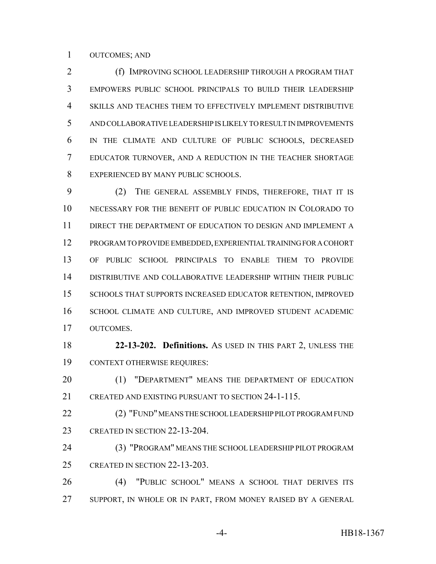#### OUTCOMES; AND

**(f) IMPROVING SCHOOL LEADERSHIP THROUGH A PROGRAM THAT**  EMPOWERS PUBLIC SCHOOL PRINCIPALS TO BUILD THEIR LEADERSHIP SKILLS AND TEACHES THEM TO EFFECTIVELY IMPLEMENT DISTRIBUTIVE AND COLLABORATIVE LEADERSHIP IS LIKELY TO RESULT IN IMPROVEMENTS IN THE CLIMATE AND CULTURE OF PUBLIC SCHOOLS, DECREASED EDUCATOR TURNOVER, AND A REDUCTION IN THE TEACHER SHORTAGE EXPERIENCED BY MANY PUBLIC SCHOOLS.

 (2) THE GENERAL ASSEMBLY FINDS, THEREFORE, THAT IT IS NECESSARY FOR THE BENEFIT OF PUBLIC EDUCATION IN COLORADO TO DIRECT THE DEPARTMENT OF EDUCATION TO DESIGN AND IMPLEMENT A PROGRAM TO PROVIDE EMBEDDED, EXPERIENTIAL TRAINING FOR A COHORT OF PUBLIC SCHOOL PRINCIPALS TO ENABLE THEM TO PROVIDE DISTRIBUTIVE AND COLLABORATIVE LEADERSHIP WITHIN THEIR PUBLIC SCHOOLS THAT SUPPORTS INCREASED EDUCATOR RETENTION, IMPROVED SCHOOL CLIMATE AND CULTURE, AND IMPROVED STUDENT ACADEMIC OUTCOMES.

 **22-13-202. Definitions.** AS USED IN THIS PART 2, UNLESS THE CONTEXT OTHERWISE REQUIRES:

20 (1) "DEPARTMENT" MEANS THE DEPARTMENT OF EDUCATION CREATED AND EXISTING PURSUANT TO SECTION 24-1-115.

22 (2) "FUND" MEANS THE SCHOOL LEADER SHIP PILOT PROGRAM FUND CREATED IN SECTION 22-13-204.

 (3) "PROGRAM" MEANS THE SCHOOL LEADERSHIP PILOT PROGRAM CREATED IN SECTION 22-13-203.

 (4) "PUBLIC SCHOOL" MEANS A SCHOOL THAT DERIVES ITS SUPPORT, IN WHOLE OR IN PART, FROM MONEY RAISED BY A GENERAL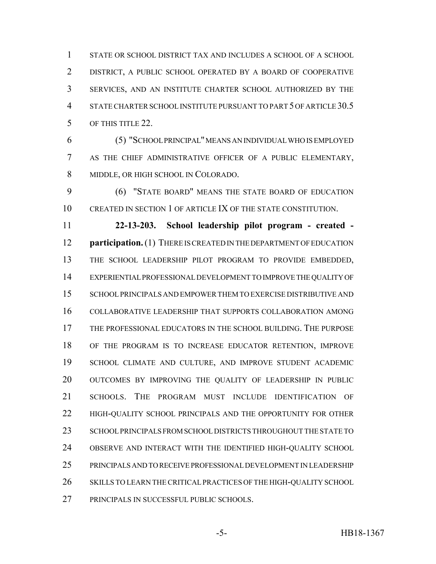STATE OR SCHOOL DISTRICT TAX AND INCLUDES A SCHOOL OF A SCHOOL DISTRICT, A PUBLIC SCHOOL OPERATED BY A BOARD OF COOPERATIVE SERVICES, AND AN INSTITUTE CHARTER SCHOOL AUTHORIZED BY THE 4 STATE CHARTER SCHOOL INSTITUTE PURSUANT TO PART 5 OF ARTICLE 30.5 OF THIS TITLE 22.

 (5) "SCHOOL PRINCIPAL" MEANS AN INDIVIDUAL WHO IS EMPLOYED AS THE CHIEF ADMINISTRATIVE OFFICER OF A PUBLIC ELEMENTARY, MIDDLE, OR HIGH SCHOOL IN COLORADO.

 (6) "STATE BOARD" MEANS THE STATE BOARD OF EDUCATION CREATED IN SECTION 1 OF ARTICLE IX OF THE STATE CONSTITUTION.

 **22-13-203. School leadership pilot program - created - participation.** (1) THERE IS CREATED IN THE DEPARTMENT OF EDUCATION THE SCHOOL LEADERSHIP PILOT PROGRAM TO PROVIDE EMBEDDED, EXPERIENTIAL PROFESSIONAL DEVELOPMENT TO IMPROVE THE QUALITY OF SCHOOL PRINCIPALS AND EMPOWER THEM TO EXERCISE DISTRIBUTIVE AND COLLABORATIVE LEADERSHIP THAT SUPPORTS COLLABORATION AMONG THE PROFESSIONAL EDUCATORS IN THE SCHOOL BUILDING. THE PURPOSE OF THE PROGRAM IS TO INCREASE EDUCATOR RETENTION, IMPROVE SCHOOL CLIMATE AND CULTURE, AND IMPROVE STUDENT ACADEMIC OUTCOMES BY IMPROVING THE QUALITY OF LEADERSHIP IN PUBLIC SCHOOLS. THE PROGRAM MUST INCLUDE IDENTIFICATION OF 22 HIGH-QUALITY SCHOOL PRINCIPALS AND THE OPPORTUNITY FOR OTHER SCHOOL PRINCIPALS FROM SCHOOL DISTRICTS THROUGHOUT THE STATE TO OBSERVE AND INTERACT WITH THE IDENTIFIED HIGH-QUALITY SCHOOL PRINCIPALS AND TO RECEIVE PROFESSIONAL DEVELOPMENT IN LEADERSHIP SKILLS TO LEARN THE CRITICAL PRACTICES OF THE HIGH-QUALITY SCHOOL PRINCIPALS IN SUCCESSFUL PUBLIC SCHOOLS.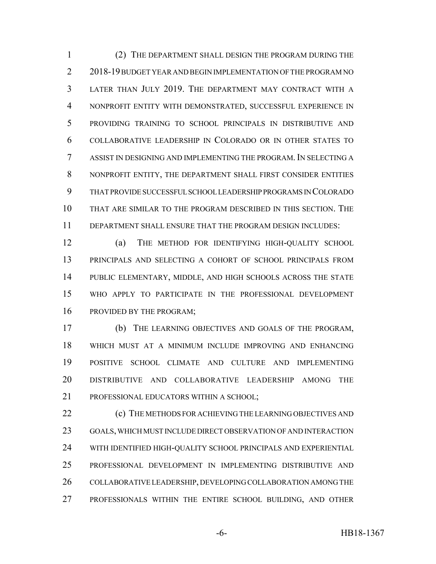(2) THE DEPARTMENT SHALL DESIGN THE PROGRAM DURING THE 2 2018-19 BUDGET YEAR AND BEGIN IMPLEMENTATION OF THE PROGRAM NO LATER THAN JULY 2019. THE DEPARTMENT MAY CONTRACT WITH A NONPROFIT ENTITY WITH DEMONSTRATED, SUCCESSFUL EXPERIENCE IN PROVIDING TRAINING TO SCHOOL PRINCIPALS IN DISTRIBUTIVE AND COLLABORATIVE LEADERSHIP IN COLORADO OR IN OTHER STATES TO ASSIST IN DESIGNING AND IMPLEMENTING THE PROGRAM. IN SELECTING A NONPROFIT ENTITY, THE DEPARTMENT SHALL FIRST CONSIDER ENTITIES THAT PROVIDE SUCCESSFUL SCHOOL LEADERSHIP PROGRAMS IN COLORADO THAT ARE SIMILAR TO THE PROGRAM DESCRIBED IN THIS SECTION. THE DEPARTMENT SHALL ENSURE THAT THE PROGRAM DESIGN INCLUDES:

 (a) THE METHOD FOR IDENTIFYING HIGH-QUALITY SCHOOL PRINCIPALS AND SELECTING A COHORT OF SCHOOL PRINCIPALS FROM PUBLIC ELEMENTARY, MIDDLE, AND HIGH SCHOOLS ACROSS THE STATE WHO APPLY TO PARTICIPATE IN THE PROFESSIONAL DEVELOPMENT PROVIDED BY THE PROGRAM;

 (b) THE LEARNING OBJECTIVES AND GOALS OF THE PROGRAM, WHICH MUST AT A MINIMUM INCLUDE IMPROVING AND ENHANCING POSITIVE SCHOOL CLIMATE AND CULTURE AND IMPLEMENTING DISTRIBUTIVE AND COLLABORATIVE LEADERSHIP AMONG THE PROFESSIONAL EDUCATORS WITHIN A SCHOOL;

**(c)** THE METHODS FOR ACHIEVING THE LEARNING OBJECTIVES AND GOALS, WHICH MUST INCLUDE DIRECT OBSERVATION OF AND INTERACTION WITH IDENTIFIED HIGH-QUALITY SCHOOL PRINCIPALS AND EXPERIENTIAL PROFESSIONAL DEVELOPMENT IN IMPLEMENTING DISTRIBUTIVE AND COLLABORATIVE LEADERSHIP, DEVELOPING COLLABORATION AMONG THE PROFESSIONALS WITHIN THE ENTIRE SCHOOL BUILDING, AND OTHER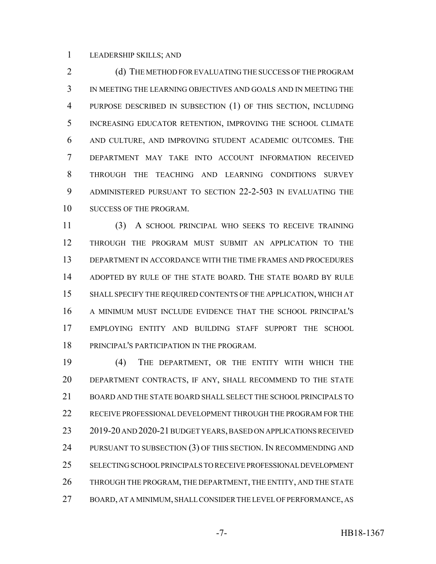LEADERSHIP SKILLS; AND

2 (d) THE METHOD FOR EVALUATING THE SUCCESS OF THE PROGRAM IN MEETING THE LEARNING OBJECTIVES AND GOALS AND IN MEETING THE PURPOSE DESCRIBED IN SUBSECTION (1) OF THIS SECTION, INCLUDING INCREASING EDUCATOR RETENTION, IMPROVING THE SCHOOL CLIMATE AND CULTURE, AND IMPROVING STUDENT ACADEMIC OUTCOMES. THE DEPARTMENT MAY TAKE INTO ACCOUNT INFORMATION RECEIVED THROUGH THE TEACHING AND LEARNING CONDITIONS SURVEY ADMINISTERED PURSUANT TO SECTION 22-2-503 IN EVALUATING THE SUCCESS OF THE PROGRAM.

 (3) A SCHOOL PRINCIPAL WHO SEEKS TO RECEIVE TRAINING THROUGH THE PROGRAM MUST SUBMIT AN APPLICATION TO THE DEPARTMENT IN ACCORDANCE WITH THE TIME FRAMES AND PROCEDURES ADOPTED BY RULE OF THE STATE BOARD. THE STATE BOARD BY RULE SHALL SPECIFY THE REQUIRED CONTENTS OF THE APPLICATION, WHICH AT A MINIMUM MUST INCLUDE EVIDENCE THAT THE SCHOOL PRINCIPAL'S EMPLOYING ENTITY AND BUILDING STAFF SUPPORT THE SCHOOL PRINCIPAL'S PARTICIPATION IN THE PROGRAM.

 (4) THE DEPARTMENT, OR THE ENTITY WITH WHICH THE DEPARTMENT CONTRACTS, IF ANY, SHALL RECOMMEND TO THE STATE BOARD AND THE STATE BOARD SHALL SELECT THE SCHOOL PRINCIPALS TO RECEIVE PROFESSIONAL DEVELOPMENT THROUGH THE PROGRAM FOR THE 2019-20 AND 2020-21 BUDGET YEARS, BASED ON APPLICATIONS RECEIVED 24 PURSUANT TO SUBSECTION (3) OF THIS SECTION. IN RECOMMENDING AND SELECTING SCHOOL PRINCIPALS TO RECEIVE PROFESSIONAL DEVELOPMENT THROUGH THE PROGRAM, THE DEPARTMENT, THE ENTITY, AND THE STATE BOARD, AT A MINIMUM, SHALL CONSIDER THE LEVEL OF PERFORMANCE, AS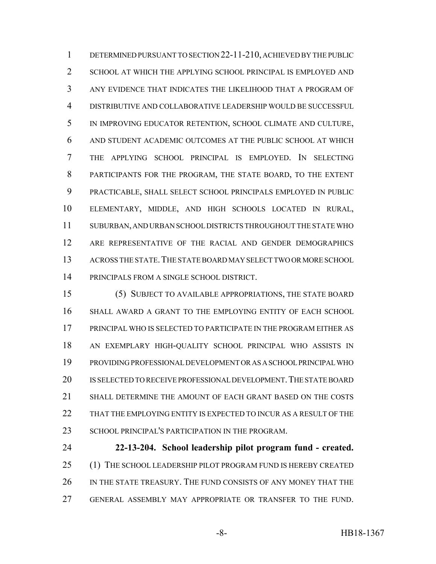DETERMINED PURSUANT TO SECTION 22-11-210, ACHIEVED BY THE PUBLIC SCHOOL AT WHICH THE APPLYING SCHOOL PRINCIPAL IS EMPLOYED AND ANY EVIDENCE THAT INDICATES THE LIKELIHOOD THAT A PROGRAM OF DISTRIBUTIVE AND COLLABORATIVE LEADERSHIP WOULD BE SUCCESSFUL IN IMPROVING EDUCATOR RETENTION, SCHOOL CLIMATE AND CULTURE, AND STUDENT ACADEMIC OUTCOMES AT THE PUBLIC SCHOOL AT WHICH THE APPLYING SCHOOL PRINCIPAL IS EMPLOYED. IN SELECTING PARTICIPANTS FOR THE PROGRAM, THE STATE BOARD, TO THE EXTENT PRACTICABLE, SHALL SELECT SCHOOL PRINCIPALS EMPLOYED IN PUBLIC ELEMENTARY, MIDDLE, AND HIGH SCHOOLS LOCATED IN RURAL, SUBURBAN, AND URBAN SCHOOL DISTRICTS THROUGHOUT THE STATE WHO ARE REPRESENTATIVE OF THE RACIAL AND GENDER DEMOGRAPHICS ACROSS THE STATE.THE STATE BOARD MAY SELECT TWO OR MORE SCHOOL PRINCIPALS FROM A SINGLE SCHOOL DISTRICT.

 (5) SUBJECT TO AVAILABLE APPROPRIATIONS, THE STATE BOARD SHALL AWARD A GRANT TO THE EMPLOYING ENTITY OF EACH SCHOOL PRINCIPAL WHO IS SELECTED TO PARTICIPATE IN THE PROGRAM EITHER AS AN EXEMPLARY HIGH-QUALITY SCHOOL PRINCIPAL WHO ASSISTS IN PROVIDING PROFESSIONAL DEVELOPMENT OR AS A SCHOOL PRINCIPAL WHO 20 IS SELECTED TO RECEIVE PROFESSIONAL DEVELOPMENT. THE STATE BOARD SHALL DETERMINE THE AMOUNT OF EACH GRANT BASED ON THE COSTS 22 THAT THE EMPLOYING ENTITY IS EXPECTED TO INCUR AS A RESULT OF THE 23 SCHOOL PRINCIPAL'S PARTICIPATION IN THE PROGRAM.

 **22-13-204. School leadership pilot program fund - created.** (1) THE SCHOOL LEADERSHIP PILOT PROGRAM FUND IS HEREBY CREATED IN THE STATE TREASURY. THE FUND CONSISTS OF ANY MONEY THAT THE GENERAL ASSEMBLY MAY APPROPRIATE OR TRANSFER TO THE FUND.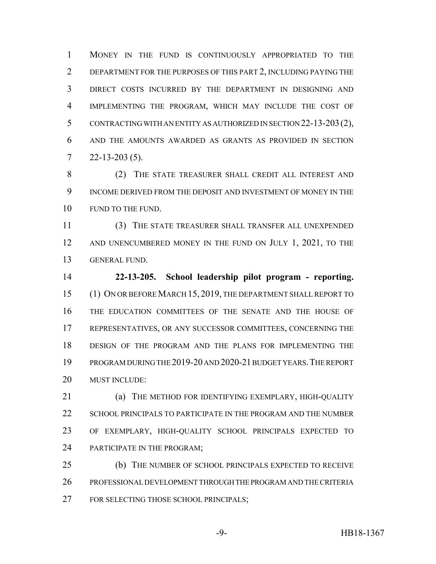MONEY IN THE FUND IS CONTINUOUSLY APPROPRIATED TO THE DEPARTMENT FOR THE PURPOSES OF THIS PART 2, INCLUDING PAYING THE DIRECT COSTS INCURRED BY THE DEPARTMENT IN DESIGNING AND IMPLEMENTING THE PROGRAM, WHICH MAY INCLUDE THE COST OF CONTRACTING WITH AN ENTITY AS AUTHORIZED IN SECTION 22-13-203(2), AND THE AMOUNTS AWARDED AS GRANTS AS PROVIDED IN SECTION  $7 \quad 22 - 13 - 203 \,(5)$ .

 (2) THE STATE TREASURER SHALL CREDIT ALL INTEREST AND INCOME DERIVED FROM THE DEPOSIT AND INVESTMENT OF MONEY IN THE 10 FUND TO THE FUND.

 (3) THE STATE TREASURER SHALL TRANSFER ALL UNEXPENDED 12 AND UNENCUMBERED MONEY IN THE FUND ON JULY 1, 2021, TO THE GENERAL FUND.

 **22-13-205. School leadership pilot program - reporting.** (1) ON OR BEFORE MARCH 15, 2019, THE DEPARTMENT SHALL REPORT TO THE EDUCATION COMMITTEES OF THE SENATE AND THE HOUSE OF REPRESENTATIVES, OR ANY SUCCESSOR COMMITTEES, CONCERNING THE DESIGN OF THE PROGRAM AND THE PLANS FOR IMPLEMENTING THE PROGRAM DURING THE 2019-20 AND 2020-21 BUDGET YEARS.THE REPORT MUST INCLUDE:

 (a) THE METHOD FOR IDENTIFYING EXEMPLARY, HIGH-QUALITY 22 SCHOOL PRINCIPALS TO PARTICIPATE IN THE PROGRAM AND THE NUMBER OF EXEMPLARY, HIGH-QUALITY SCHOOL PRINCIPALS EXPECTED TO PARTICIPATE IN THE PROGRAM;

 (b) THE NUMBER OF SCHOOL PRINCIPALS EXPECTED TO RECEIVE PROFESSIONAL DEVELOPMENT THROUGH THE PROGRAM AND THE CRITERIA FOR SELECTING THOSE SCHOOL PRINCIPALS;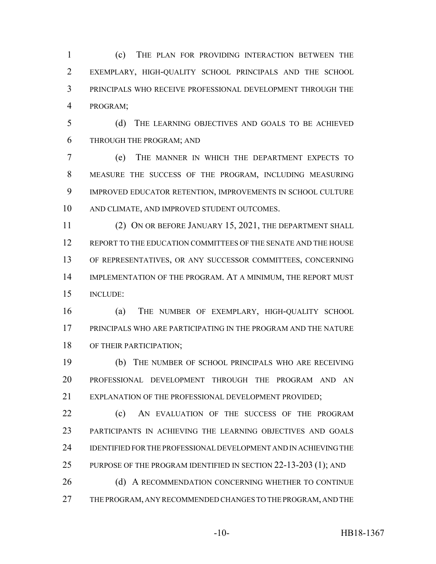(c) THE PLAN FOR PROVIDING INTERACTION BETWEEN THE EXEMPLARY, HIGH-QUALITY SCHOOL PRINCIPALS AND THE SCHOOL PRINCIPALS WHO RECEIVE PROFESSIONAL DEVELOPMENT THROUGH THE PROGRAM;

 (d) THE LEARNING OBJECTIVES AND GOALS TO BE ACHIEVED THROUGH THE PROGRAM; AND

 (e) THE MANNER IN WHICH THE DEPARTMENT EXPECTS TO MEASURE THE SUCCESS OF THE PROGRAM, INCLUDING MEASURING IMPROVED EDUCATOR RETENTION, IMPROVEMENTS IN SCHOOL CULTURE AND CLIMATE, AND IMPROVED STUDENT OUTCOMES.

11 (2) ON OR BEFORE JANUARY 15, 2021, THE DEPARTMENT SHALL REPORT TO THE EDUCATION COMMITTEES OF THE SENATE AND THE HOUSE OF REPRESENTATIVES, OR ANY SUCCESSOR COMMITTEES, CONCERNING IMPLEMENTATION OF THE PROGRAM. AT A MINIMUM, THE REPORT MUST INCLUDE:

 (a) THE NUMBER OF EXEMPLARY, HIGH-QUALITY SCHOOL PRINCIPALS WHO ARE PARTICIPATING IN THE PROGRAM AND THE NATURE OF THEIR PARTICIPATION;

 (b) THE NUMBER OF SCHOOL PRINCIPALS WHO ARE RECEIVING PROFESSIONAL DEVELOPMENT THROUGH THE PROGRAM AND AN 21 EXPLANATION OF THE PROFESSIONAL DEVELOPMENT PROVIDED:

**(c)** AN EVALUATION OF THE SUCCESS OF THE PROGRAM PARTICIPANTS IN ACHIEVING THE LEARNING OBJECTIVES AND GOALS IDENTIFIED FOR THE PROFESSIONAL DEVELOPMENT AND IN ACHIEVING THE 25 PURPOSE OF THE PROGRAM IDENTIFIED IN SECTION 22-13-203 (1); AND

26 (d) A RECOMMENDATION CONCERNING WHETHER TO CONTINUE THE PROGRAM, ANY RECOMMENDED CHANGES TO THE PROGRAM, AND THE